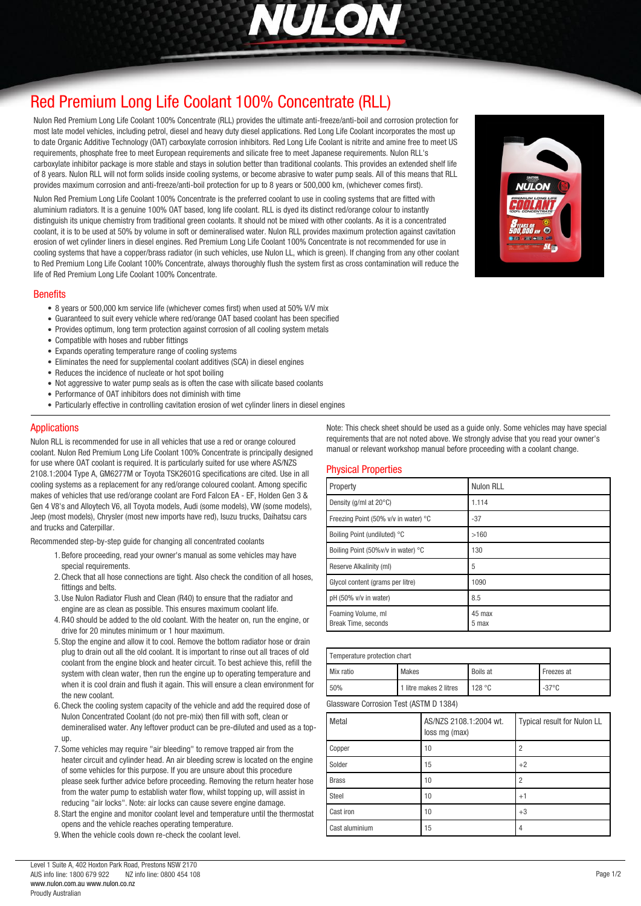

# *[Red Premium Long Life Coolant 100% Concentrate \(RLL\)](http://www.nulon.com.au)*

*Nulon Red Premium Long Life Coolant 100% Concentrate (RLL) provides the ultimate anti-freeze/anti-boil and corrosion protection for most late model vehicles, including petrol, diesel and heavy duty diesel applications. Red Long Life Coolant incorporates the most up to date Organic Additive Technology (OAT) carboxylate corrosion inhibitors. Red Long Life Coolant is nitrite and amine free to meet US requirements, phosphate free to meet European requirements and silicate free to meet Japanese requirements. Nulon RLL's carboxylate inhibitor package is more stable and stays in solution better than traditional coolants. This provides an extended shelf life of 8 years. Nulon RLL will not form solids inside cooling systems, or become abrasive to water pump seals. All of this means that RLL provides maximum corrosion and anti-freeze/anti-boil protection for up to 8 years or 500,000 km, (whichever comes first).*

*Nulon Red Premium Long Life Coolant 100% Concentrate is the preferred coolant to use in cooling systems that are fitted with aluminium radiators. It is a genuine 100% OAT based, long life coolant. RLL is dyed its distinct red/orange colour to instantly distinguish its unique chemistry from traditional green coolants. It should not be mixed with other coolants. As it is a concentrated coolant, it is to be used at 50% by volume in soft or demineralised water. Nulon RLL provides maximum protection against cavitation erosion of wet cylinder liners in diesel engines. Red Premium Long Life Coolant 100% Concentrate is not recommended for use in cooling systems that have a copper/brass radiator (in such vehicles, use Nulon LL, which is green). If changing from any other coolant to Red Premium Long Life Coolant 100% Concentrate, always thoroughly flush the system first as cross contamination will reduce the life of Red Premium Long Life Coolant 100% Concentrate.*

#### *Benefits*

- *8 years or 500,000 km service life (whichever comes first) when used at 50% V/V mix*
- *Guaranteed to suit every vehicle where red/orange OAT based coolant has been specified*
- *Provides optimum, long term protection against corrosion of all cooling system metals*
- *Compatible with hoses and rubber fittings*
- *Expands operating temperature range of cooling systems*
- *Eliminates the need for supplemental coolant additives (SCA) in diesel engines*
- *Reduces the incidence of nucleate or hot spot boiling*
- *Not aggressive to water pump seals as is often the case with silicate based coolants*
- *Performance of OAT inhibitors does not diminish with time*
- *Particularly effective in controlling cavitation erosion of wet cylinder liners in diesel engines*

### *Applications*

*Nulon RLL is recommended for use in all vehicles that use a red or orange coloured coolant. Nulon Red Premium Long Life Coolant 100% Concentrate is principally designed for use where OAT coolant is required. It is particularly suited for use where AS/NZS 2108.1:2004 Type A, GM6277M or Toyota TSK2601G specifications are cited. Use in all cooling systems as a replacement for any red/orange coloured coolant. Among specific makes of vehicles that use red/orange coolant are Ford Falcon EA - EF, Holden Gen 3 & Gen 4 V8's and Alloytech V6, all Toyota models, Audi (some models), VW (some models), Jeep (most models), Chrysler (most new imports have red), Isuzu trucks, Daihatsu cars and trucks and Caterpillar.*

*Recommended step-by-step guide for changing all concentrated coolants*

- *1.Before proceeding, read your owner's manual as some vehicles may have special requirements.*
- *2.Check that all hose connections are tight. Also check the condition of all hoses, fittings and belts.*
- *3.Use Nulon Radiator Flush and Clean (R40) to ensure that the radiator and engine are as clean as possible. This ensures maximum coolant life.*
- *4.R40 should be added to the old coolant. With the heater on, run the engine, or drive for 20 minutes minimum or 1 hour maximum.*
- *5. Stop the engine and allow it to cool. Remove the bottom radiator hose or drain plug to drain out all the old coolant. It is important to rinse out all traces of old coolant from the engine block and heater circuit. To best achieve this, refill the system with clean water, then run the engine up to operating temperature and when it is cool drain and flush it again. This will ensure a clean environment for the new coolant.*
- *6.Check the cooling system capacity of the vehicle and add the required dose of Nulon Concentrated Coolant (do not pre-mix) then fill with soft, clean or demineralised water. Any leftover product can be pre-diluted and used as a topup.*
- *7. Some vehicles may require "air bleeding" to remove trapped air from the heater circuit and cylinder head. An air bleeding screw is located on the engine of some vehicles for this purpose. If you are unsure about this procedure please seek further advice before proceeding. Removing the return heater hose from the water pump to establish water flow, whilst topping up, will assist in reducing "air locks". Note: air locks can cause severe engine damage.*
- *8. Start the engine and monitor coolant level and temperature until the thermostat opens and the vehicle reaches operating temperature.*
- *9.When the vehicle cools down re-check the coolant level.*

*Note: This check sheet should be used as a guide only. Some vehicles may have special requirements that are not noted above. We strongly advise that you read your owner's manual or relevant workshop manual before proceeding with a coolant change.*

#### *Physical Properties*

| Property                                  | <b>Nulon RLL</b> |
|-------------------------------------------|------------------|
| Density (g/ml at 20°C)                    | 1.114            |
| Freezing Point (50% v/v in water) °C      | $-37$            |
| Boiling Point (undiluted) °C              | >160             |
| Boiling Point (50%v/v in water) °C        | 130              |
| Reserve Alkalinity (ml)                   | 5                |
| Glycol content (grams per litre)          | 1090             |
| pH (50% v/v in water)                     | 8.5              |
| Foaming Volume, ml<br>Break Time, seconds | 45 max<br>5 max  |

| Temperature protection chart           |                        |                 |                 |
|----------------------------------------|------------------------|-----------------|-----------------|
| Mix ratio                              | Makes                  | <b>Boils at</b> | Freezes at      |
| 50%                                    | 1 litre makes 2 litres | 128 °C          | $-37^{\circ}$ C |
| Glassware Corrosion Test (ASTM D 1384) |                        |                 |                 |

| Metal          | AS/NZS 2108.1:2004 wt.<br>loss mg (max) | Typical result for Nulon LL |
|----------------|-----------------------------------------|-----------------------------|
| Copper         | 10                                      |                             |
| Solder         | 15                                      | $+2$                        |
| <b>Brass</b>   | 10                                      |                             |
| Steel          | 10                                      | $+1$                        |
| Cast iron      | 10                                      | $+3$                        |
| Cast aluminium | 15                                      |                             |